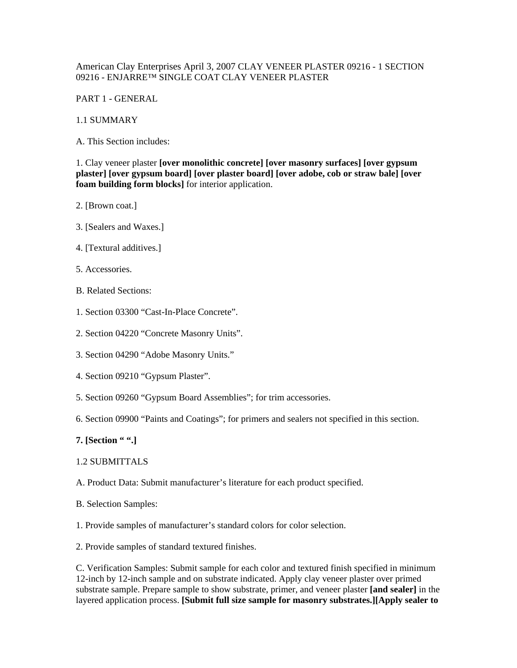## American Clay Enterprises April 3, 2007 CLAY VENEER PLASTER 09216 - 1 SECTION 09216 - ENJARRE™ SINGLE COAT CLAY VENEER PLASTER

PART 1 - GENERAL

### 1.1 SUMMARY

A. This Section includes:

## 1. Clay veneer plaster **[over monolithic concrete] [over masonry surfaces] [over gypsum plaster] [over gypsum board] [over plaster board] [over adobe, cob or straw bale] [over foam building form blocks]** for interior application.

- 2. [Brown coat.]
- 3. [Sealers and Waxes.]
- 4. [Textural additives.]
- 5. Accessories.
- B. Related Sections:
- 1. Section 03300 "Cast-In-Place Concrete".
- 2. Section 04220 "Concrete Masonry Units".
- 3. Section 04290 "Adobe Masonry Units."
- 4. Section 09210 "Gypsum Plaster".
- 5. Section 09260 "Gypsum Board Assemblies"; for trim accessories.
- 6. Section 09900 "Paints and Coatings"; for primers and sealers not specified in this section.

## **7. [Section " ".]**

### 1.2 SUBMITTALS

- A. Product Data: Submit manufacturer's literature for each product specified.
- B. Selection Samples:
- 1. Provide samples of manufacturer's standard colors for color selection.
- 2. Provide samples of standard textured finishes.

C. Verification Samples: Submit sample for each color and textured finish specified in minimum 12-inch by 12-inch sample and on substrate indicated. Apply clay veneer plaster over primed substrate sample. Prepare sample to show substrate, primer, and veneer plaster **[and sealer]** in the layered application process. **[Submit full size sample for masonry substrates.][Apply sealer to**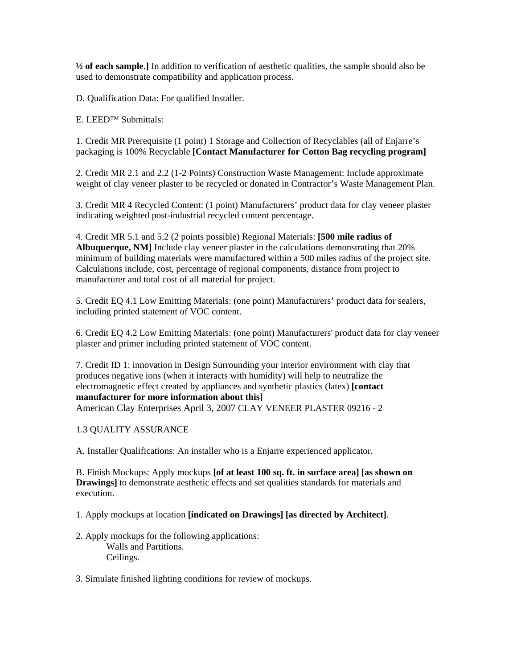**½ of each sample.]** In addition to verification of aesthetic qualities, the sample should also be used to demonstrate compatibility and application process.

D. Qualification Data: For qualified Installer.

E. LEED™ Submittals:

1. Credit MR Prerequisite (1 point) 1 Storage and Collection of Recyclables (all of Enjarre's packaging is 100% Recyclable **[Contact Manufacturer for Cotton Bag recycling program]** 

2. Credit MR 2.1 and 2.2 (1-2 Points) Construction Waste Management: Include approximate weight of clay veneer plaster to be recycled or donated in Contractor's Waste Management Plan.

3. Credit MR 4 Recycled Content: (1 point) Manufacturers' product data for clay veneer plaster indicating weighted post-industrial recycled content percentage.

4. Credit MR 5.1 and 5.2 (2 points possible) Regional Materials: **[500 mile radius of Albuquerque, NM]** Include clay veneer plaster in the calculations demonstrating that 20% minimum of building materials were manufactured within a 500 miles radius of the project site. Calculations include, cost, percentage of regional components, distance from project to manufacturer and total cost of all material for project.

5. Credit EQ 4.1 Low Emitting Materials: (one point) Manufacturers' product data for sealers, including printed statement of VOC content.

6. Credit EQ 4.2 Low Emitting Materials: (one point) Manufacturers' product data for clay veneer plaster and primer including printed statement of VOC content.

7. Credit ID 1: innovation in Design Surrounding your interior environment with clay that produces negative ions (when it interacts with humidity) will help to neutralize the electromagnetic effect created by appliances and synthetic plastics (latex) **[contact manufacturer for more information about this]**  American Clay Enterprises April 3, 2007 CLAY VENEER PLASTER 09216 - 2

### 1.3 QUALITY ASSURANCE

A. Installer Qualifications: An installer who is a Enjarre experienced applicator.

B. Finish Mockups: Apply mockups **[of at least 100 sq. ft. in surface area] [as shown on Drawings]** to demonstrate aesthetic effects and set qualities standards for materials and execution.

1. Apply mockups at location **[indicated on Drawings] [as directed by Architect]**.

2. Apply mockups for the following applications: Walls and Partitions. Ceilings.

3. Simulate finished lighting conditions for review of mockups.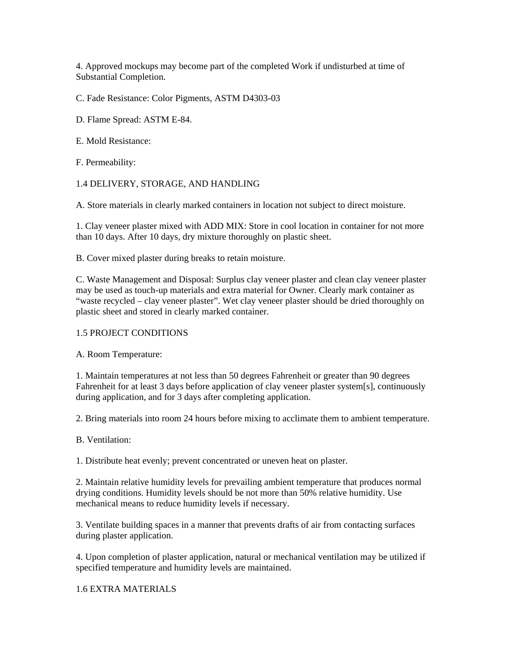4. Approved mockups may become part of the completed Work if undisturbed at time of Substantial Completion.

C. Fade Resistance: Color Pigments, ASTM D4303-03

D. Flame Spread: ASTM E-84.

E. Mold Resistance:

F. Permeability:

1.4 DELIVERY, STORAGE, AND HANDLING

A. Store materials in clearly marked containers in location not subject to direct moisture.

1. Clay veneer plaster mixed with ADD MIX: Store in cool location in container for not more than 10 days. After 10 days, dry mixture thoroughly on plastic sheet.

B. Cover mixed plaster during breaks to retain moisture.

C. Waste Management and Disposal: Surplus clay veneer plaster and clean clay veneer plaster may be used as touch-up materials and extra material for Owner. Clearly mark container as "waste recycled – clay veneer plaster". Wet clay veneer plaster should be dried thoroughly on plastic sheet and stored in clearly marked container.

### 1.5 PROJECT CONDITIONS

A. Room Temperature:

1. Maintain temperatures at not less than 50 degrees Fahrenheit or greater than 90 degrees Fahrenheit for at least 3 days before application of clay veneer plaster system[s], continuously during application, and for 3 days after completing application.

2. Bring materials into room 24 hours before mixing to acclimate them to ambient temperature.

B. Ventilation:

1. Distribute heat evenly; prevent concentrated or uneven heat on plaster.

2. Maintain relative humidity levels for prevailing ambient temperature that produces normal drying conditions. Humidity levels should be not more than 50% relative humidity. Use mechanical means to reduce humidity levels if necessary.

3. Ventilate building spaces in a manner that prevents drafts of air from contacting surfaces during plaster application.

4. Upon completion of plaster application, natural or mechanical ventilation may be utilized if specified temperature and humidity levels are maintained.

## 1.6 EXTRA MATERIALS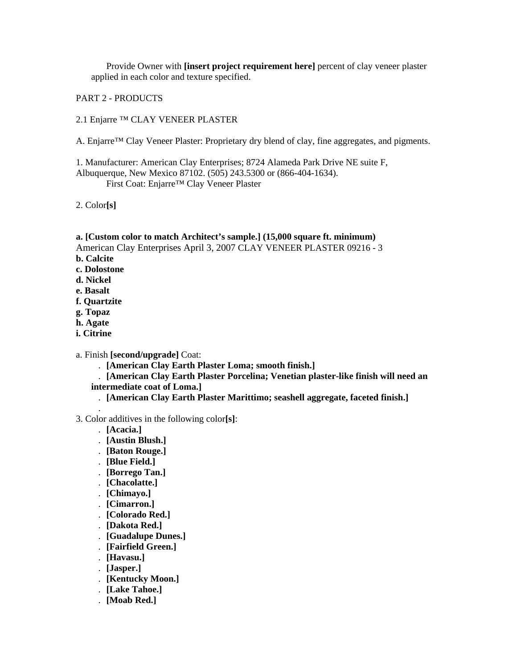Provide Owner with **[insert project requirement here]** percent of clay veneer plaster applied in each color and texture specified.

PART 2 - PRODUCTS

2.1 Enjarre ™ CLAY VENEER PLASTER

A. Enjarre™ Clay Veneer Plaster: Proprietary dry blend of clay, fine aggregates, and pigments.

1. Manufacturer: American Clay Enterprises; 8724 Alameda Park Drive NE suite F, Albuquerque, New Mexico 87102. (505) 243.5300 or (866-404-1634). First Coat: Enjarre™ Clay Veneer Plaster

2. Color**[s]** 

## **a. [Custom color to match Architect's sample.] (15,000 square ft. minimum)**

American Clay Enterprises April 3, 2007 CLAY VENEER PLASTER 09216 - 3

- **b. Calcite**
- **c. Dolostone**
- **d. Nickel**
- **e. Basalt**
- **f. Quartzite**
- **g. Topaz**
- **h. Agate**
- **i. Citrine**
- a. Finish **[second/upgrade]** Coat:
	- . **[American Clay Earth Plaster Loma; smooth finish.]**

. **[American Clay Earth Plaster Porcelina; Venetian plaster-like finish will need an intermediate coat of Loma.]** 

- . **[American Clay Earth Plaster Marittimo; seashell aggregate, faceted finish.]**
- . 3. Color additives in the following color**[s]**:
	- . **[Acacia.]**
	- . **[Austin Blush.]**
	- . **[Baton Rouge.]**
	- . **[Blue Field.]**
	- . **[Borrego Tan.]**
	- . **[Chacolatte.]**
	- . **[Chimayo.]**
	- . **[Cimarron.]**
	- . **[Colorado Red.]**
	- . **[Dakota Red.]**
	- . **[Guadalupe Dunes.]**
	- . **[Fairfield Green.]**
	- . **[Havasu.]**
	- . **[Jasper.]**
	- . **[Kentucky Moon.]**
	- . **[Lake Tahoe.]**
	- . **[Moab Red.]**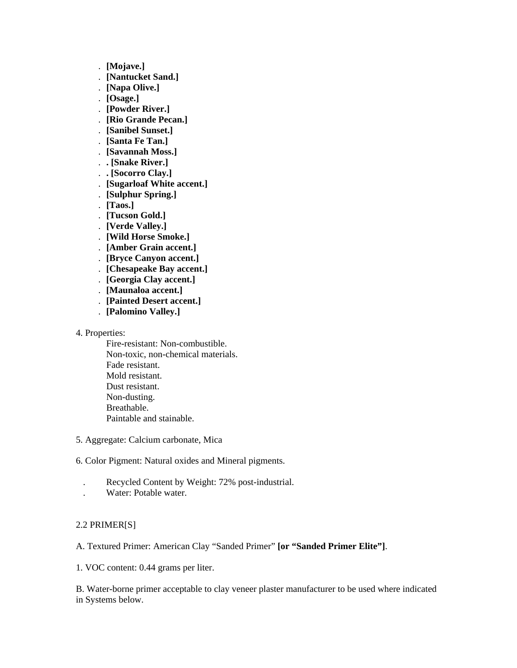- . **[Mojave.]**
- . **[Nantucket Sand.]**
- . **[Napa Olive.]**
- . **[Osage.]**
- . **[Powder River.]**
- . **[Rio Grande Pecan.]**
- . **[Sanibel Sunset.]**
- . **[Santa Fe Tan.]**
- . **[Savannah Moss.]**
- . **. [Snake River.]**
- . **. [Socorro Clay.]**
- . **[Sugarloaf White accent.]**
- . **[Sulphur Spring.]**
- . **[Taos.]**
- . **[Tucson Gold.]**
- . **[Verde Valley.]**
- . **[Wild Horse Smoke.]**
- . **[Amber Grain accent.]**
- . **[Bryce Canyon accent.]**
- . **[Chesapeake Bay accent.]**
- . **[Georgia Clay accent.]**
- . **[Maunaloa accent.]**
- . **[Painted Desert accent.]**
- . **[Palomino Valley.]**
- 4. Properties:
	- Fire-resistant: Non-combustible. Non-toxic, non-chemical materials. Fade resistant. Mold resistant. Dust resistant. Non-dusting. Breathable. Paintable and stainable.
- 5. Aggregate: Calcium carbonate, Mica
- 6. Color Pigment: Natural oxides and Mineral pigments.
- . Recycled Content by Weight: 72% post-industrial.
- . Water: Potable water.

## 2.2 PRIMER[S]

A. Textured Primer: American Clay "Sanded Primer" **[or "Sanded Primer Elite"]**.

1. VOC content: 0.44 grams per liter.

B. Water-borne primer acceptable to clay veneer plaster manufacturer to be used where indicated in Systems below.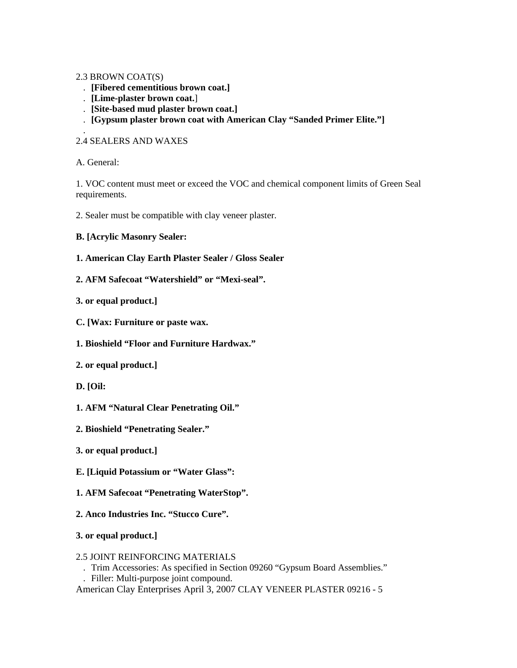## 2.3 BROWN COAT(S)

- . **[Fibered cementitious brown coat.]**
- . **[Lime-plaster brown coat.**]
- . **[Site-based mud plaster brown coat.]**
- . **[Gypsum plaster brown coat with American Clay "Sanded Primer Elite."]**

### . 2.4 SEALERS AND WAXES

A. General:

1. VOC content must meet or exceed the VOC and chemical component limits of Green Seal requirements.

- 2. Sealer must be compatible with clay veneer plaster.
- **B. [Acrylic Masonry Sealer:**
- **1. American Clay Earth Plaster Sealer / Gloss Sealer**
- **2. AFM Safecoat "Watershield" or "Mexi-seal".**
- **3. or equal product.]**
- **C. [Wax: Furniture or paste wax.**
- **1. Bioshield "Floor and Furniture Hardwax."**
- **2. or equal product.]**
- **D. [Oil:**
- **1. AFM "Natural Clear Penetrating Oil."**
- **2. Bioshield "Penetrating Sealer."**
- **3. or equal product.]**
- **E. [Liquid Potassium or "Water Glass":**
- **1. AFM Safecoat "Penetrating WaterStop".**
- **2. Anco Industries Inc. "Stucco Cure".**
- **3. or equal product.]**
- 2.5 JOINT REINFORCING MATERIALS
- . Trim Accessories: As specified in Section 09260 "Gypsum Board Assemblies."
- . Filler: Multi-purpose joint compound.

American Clay Enterprises April 3, 2007 CLAY VENEER PLASTER 09216 - 5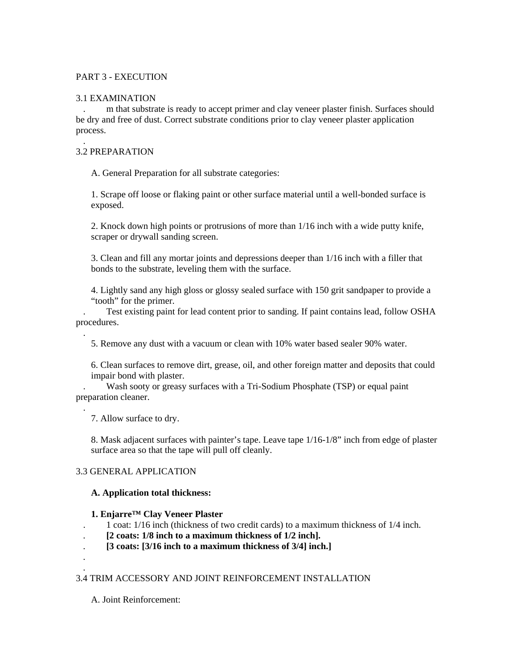## PART 3 - EXECUTION

## 3.1 EXAMINATION

. m that substrate is ready to accept primer and clay veneer plaster finish. Surfaces should be dry and free of dust. Correct substrate conditions prior to clay veneer plaster application process.

## 3.2 PREPARATION

.

.

.

. . A. General Preparation for all substrate categories:

1. Scrape off loose or flaking paint or other surface material until a well-bonded surface is exposed.

2. Knock down high points or protrusions of more than 1/16 inch with a wide putty knife, scraper or drywall sanding screen.

3. Clean and fill any mortar joints and depressions deeper than 1/16 inch with a filler that bonds to the substrate, leveling them with the surface.

4. Lightly sand any high gloss or glossy sealed surface with 150 grit sandpaper to provide a "tooth" for the primer.

. Test existing paint for lead content prior to sanding. If paint contains lead, follow OSHA procedures.

5. Remove any dust with a vacuum or clean with 10% water based sealer 90% water.

6. Clean surfaces to remove dirt, grease, oil, and other foreign matter and deposits that could impair bond with plaster.

. Wash sooty or greasy surfaces with a Tri-Sodium Phosphate (TSP) or equal paint preparation cleaner.

7. Allow surface to dry.

8. Mask adjacent surfaces with painter's tape. Leave tape 1/16-1/8" inch from edge of plaster surface area so that the tape will pull off cleanly.

## 3.3 GENERAL APPLICATION

## **A. Application total thickness:**

### **1. Enjarre™ Clay Veneer Plaster**

- . 1 coat: 1/16 inch (thickness of two credit cards) to a maximum thickness of 1/4 inch.
- . **[2 coats: 1/8 inch to a maximum thickness of 1/2 inch].**

. **[3 coats: [3/16 inch to a maximum thickness of 3/4] inch.]** 

## 3.4 TRIM ACCESSORY AND JOINT REINFORCEMENT INSTALLATION

A. Joint Reinforcement: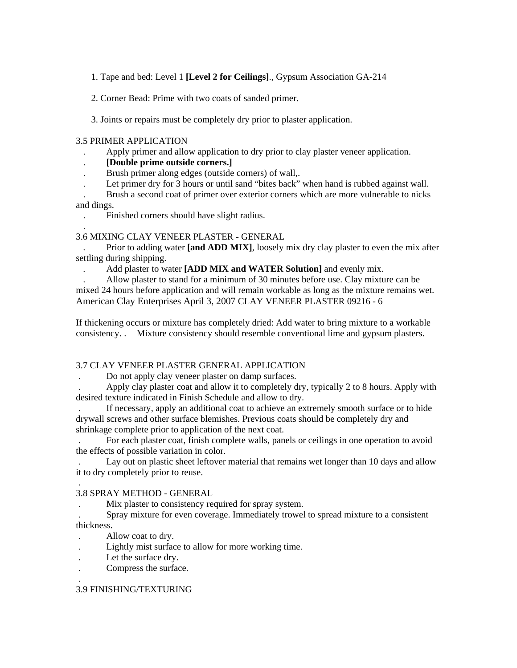- 1. Tape and bed: Level 1 **[Level 2 for Ceilings]**., Gypsum Association GA-214
- 2. Corner Bead: Prime with two coats of sanded primer.
- 3. Joints or repairs must be completely dry prior to plaster application.

### 3.5 PRIMER APPLICATION

- . Apply primer and allow application to dry prior to clay plaster veneer application.
- . **[Double prime outside corners.]**
- . Brush primer along edges (outside corners) of wall,.
- . Let primer dry for 3 hours or until sand "bites back" when hand is rubbed against wall.
- . Brush a second coat of primer over exterior corners which are more vulnerable to nicks and dings.
	- . Finished corners should have slight radius.

### . 3.6 MIXING CLAY VENEER PLASTER - GENERAL

. Prior to adding water **[and ADD MIX]**, loosely mix dry clay plaster to even the mix after settling during shipping.

. Add plaster to water **[ADD MIX and WATER Solution]** and evenly mix.

. Allow plaster to stand for a minimum of 30 minutes before use. Clay mixture can be mixed 24 hours before application and will remain workable as long as the mixture remains wet. American Clay Enterprises April 3, 2007 CLAY VENEER PLASTER 09216 - 6

If thickening occurs or mixture has completely dried: Add water to bring mixture to a workable consistency. . Mixture consistency should resemble conventional lime and gypsum plasters.

## 3.7 CLAY VENEER PLASTER GENERAL APPLICATION

. Do not apply clay veneer plaster on damp surfaces.

 . Apply clay plaster coat and allow it to completely dry, typically 2 to 8 hours. Apply with desired texture indicated in Finish Schedule and allow to dry.

 . If necessary, apply an additional coat to achieve an extremely smooth surface or to hide drywall screws and other surface blemishes. Previous coats should be completely dry and shrinkage complete prior to application of the next coat.

 . For each plaster coat, finish complete walls, panels or ceilings in one operation to avoid the effects of possible variation in color.

 . Lay out on plastic sheet leftover material that remains wet longer than 10 days and allow it to dry completely prior to reuse.

## 3.8 SPRAY METHOD - GENERAL

. Mix plaster to consistency required for spray system.

 . Spray mixture for even coverage. Immediately trowel to spread mixture to a consistent thickness.

. Allow coat to dry.

.

.

- . Lightly mist surface to allow for more working time.
- . Let the surface dry.
- . Compress the surface.

## 3.9 FINISHING/TEXTURING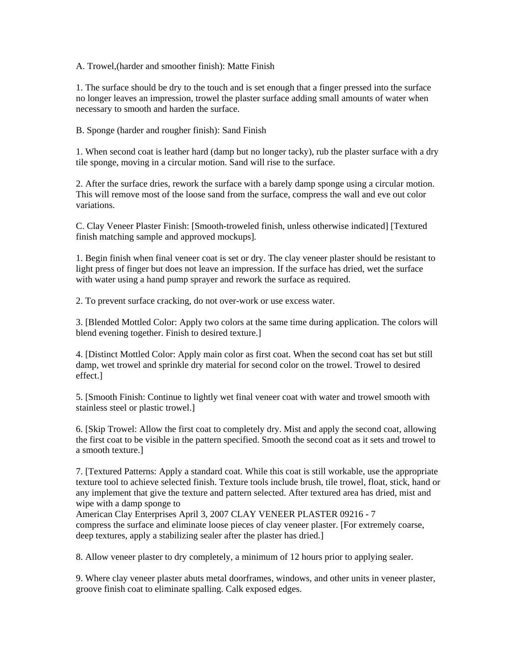A. Trowel,(harder and smoother finish): Matte Finish

1. The surface should be dry to the touch and is set enough that a finger pressed into the surface no longer leaves an impression, trowel the plaster surface adding small amounts of water when necessary to smooth and harden the surface.

B. Sponge (harder and rougher finish): Sand Finish

1. When second coat is leather hard (damp but no longer tacky), rub the plaster surface with a dry tile sponge, moving in a circular motion. Sand will rise to the surface.

2. After the surface dries, rework the surface with a barely damp sponge using a circular motion. This will remove most of the loose sand from the surface, compress the wall and eve out color variations.

C. Clay Veneer Plaster Finish: [Smooth-troweled finish, unless otherwise indicated] [Textured finish matching sample and approved mockups].

1. Begin finish when final veneer coat is set or dry. The clay veneer plaster should be resistant to light press of finger but does not leave an impression. If the surface has dried, wet the surface with water using a hand pump sprayer and rework the surface as required.

2. To prevent surface cracking, do not over-work or use excess water.

3. [Blended Mottled Color: Apply two colors at the same time during application. The colors will blend evening together. Finish to desired texture.]

4. [Distinct Mottled Color: Apply main color as first coat. When the second coat has set but still damp, wet trowel and sprinkle dry material for second color on the trowel. Trowel to desired effect.]

5. [Smooth Finish: Continue to lightly wet final veneer coat with water and trowel smooth with stainless steel or plastic trowel.]

6. [Skip Trowel: Allow the first coat to completely dry. Mist and apply the second coat, allowing the first coat to be visible in the pattern specified. Smooth the second coat as it sets and trowel to a smooth texture.]

7. [Textured Patterns: Apply a standard coat. While this coat is still workable, use the appropriate texture tool to achieve selected finish. Texture tools include brush, tile trowel, float, stick, hand or any implement that give the texture and pattern selected. After textured area has dried, mist and wipe with a damp sponge to

American Clay Enterprises April 3, 2007 CLAY VENEER PLASTER 09216 - 7 compress the surface and eliminate loose pieces of clay veneer plaster. [For extremely coarse, deep textures, apply a stabilizing sealer after the plaster has dried.]

8. Allow veneer plaster to dry completely, a minimum of 12 hours prior to applying sealer.

9. Where clay veneer plaster abuts metal doorframes, windows, and other units in veneer plaster, groove finish coat to eliminate spalling. Calk exposed edges.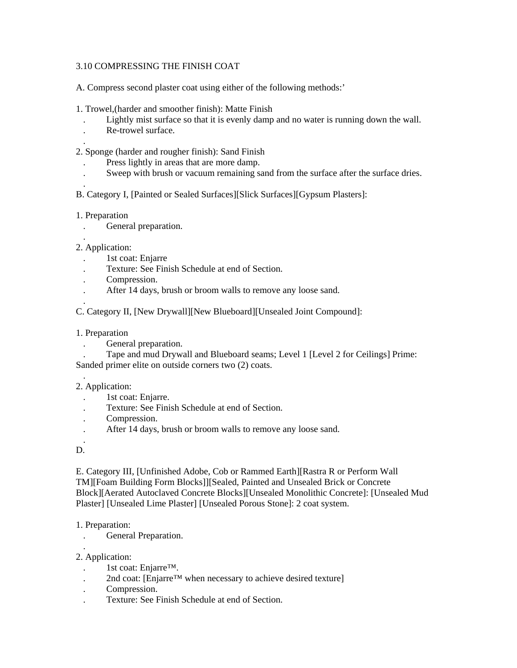## 3.10 COMPRESSING THE FINISH COAT

A. Compress second plaster coat using either of the following methods:'

- 1. Trowel,(harder and smoother finish): Matte Finish
	- Lightly mist surface so that it is evenly damp and no water is running down the wall.
	- . Re-trowel surface.
- . 2. Sponge (harder and rougher finish): Sand Finish
	- . Press lightly in areas that are more damp.
	- . Sweep with brush or vacuum remaining sand from the surface after the surface dries.
- . B. Category I, [Painted or Sealed Surfaces][Slick Surfaces][Gypsum Plasters]:
- 1. Preparation
	- . General preparation.

. 2. Application:

- . 1st coat: Enjarre
- . Texture: See Finish Schedule at end of Section.
- . Compression.
- . After 14 days, brush or broom walls to remove any loose sand.

. C. Category II, [New Drywall][New Blueboard][Unsealed Joint Compound]:

- 1. Preparation
	- . General preparation.

. Tape and mud Drywall and Blueboard seams; Level 1 [Level 2 for Ceilings] Prime: Sanded primer elite on outside corners two (2) coats.

### . 2. Application:

- . 1st coat: Enjarre.
- . Texture: See Finish Schedule at end of Section.
- . Compression.
- . After 14 days, brush or broom walls to remove any loose sand.

# .

D.

E. Category III, [Unfinished Adobe, Cob or Rammed Earth][Rastra R or Perform Wall TM][Foam Building Form Blocks]][Sealed, Painted and Unsealed Brick or Concrete Block][Aerated Autoclaved Concrete Blocks][Unsealed Monolithic Concrete]: [Unsealed Mud Plaster] [Unsealed Lime Plaster] [Unsealed Porous Stone]: 2 coat system.

## 1. Preparation:

. General Preparation.

. 2. Application:

- . 1st coat: Enjarre™.
- . 2nd coat: [Enjarre™ when necessary to achieve desired texture]
- . Compression.
- . Texture: See Finish Schedule at end of Section.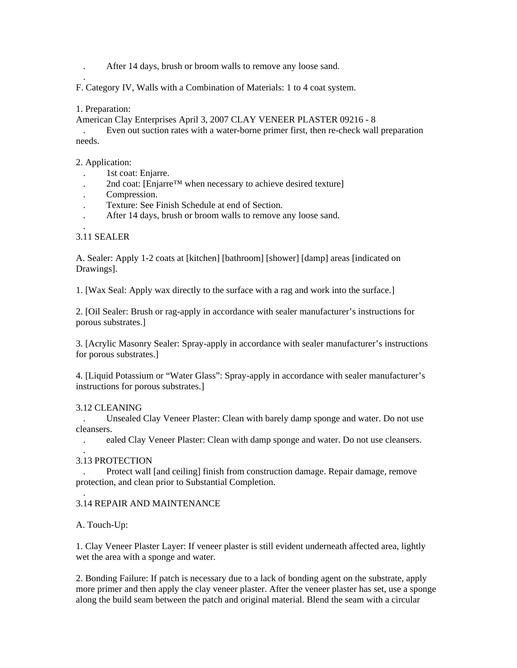. After 14 days, brush or broom walls to remove any loose sand.

F. Category IV, Walls with a Combination of Materials: 1 to 4 coat system.

1. Preparation:

.

American Clay Enterprises April 3, 2007 CLAY VENEER PLASTER 09216 - 8

. Even out suction rates with a water-borne primer first, then re-check wall preparation needs.

2. Application:

- . 1st coat: Enjarre.
- 2nd coat: [Enjarre™ when necessary to achieve desired texture]
- . Compression.
- . Texture: See Finish Schedule at end of Section.
- . After 14 days, brush or broom walls to remove any loose sand.

### 3.11 SEALER

.

A. Sealer: Apply 1-2 coats at [kitchen] [bathroom] [shower] [damp] areas [indicated on Drawings].

1. [Wax Seal: Apply wax directly to the surface with a rag and work into the surface.]

2. [Oil Sealer: Brush or rag-apply in accordance with sealer manufacturer's instructions for porous substrates.]

3. [Acrylic Masonry Sealer: Spray-apply in accordance with sealer manufacturer's instructions for porous substrates.]

4. [Liquid Potassium or "Water Glass": Spray-apply in accordance with sealer manufacturer's instructions for porous substrates.]

### 3.12 CLEANING

. Unsealed Clay Veneer Plaster: Clean with barely damp sponge and water. Do not use cleansers.

. ealed Clay Veneer Plaster: Clean with damp sponge and water. Do not use cleansers.

#### . 3.13 PROTECTION

. Protect wall [and ceiling] finish from construction damage. Repair damage, remove protection, and clean prior to Substantial Completion.

## 3.14 REPAIR AND MAINTENANCE

A. Touch-Up:

.

1. Clay Veneer Plaster Layer: If veneer plaster is still evident underneath affected area, lightly wet the area with a sponge and water.

2. Bonding Failure: If patch is necessary due to a lack of bonding agent on the substrate, apply more primer and then apply the clay veneer plaster. After the veneer plaster has set, use a sponge along the build seam between the patch and original material. Blend the seam with a circular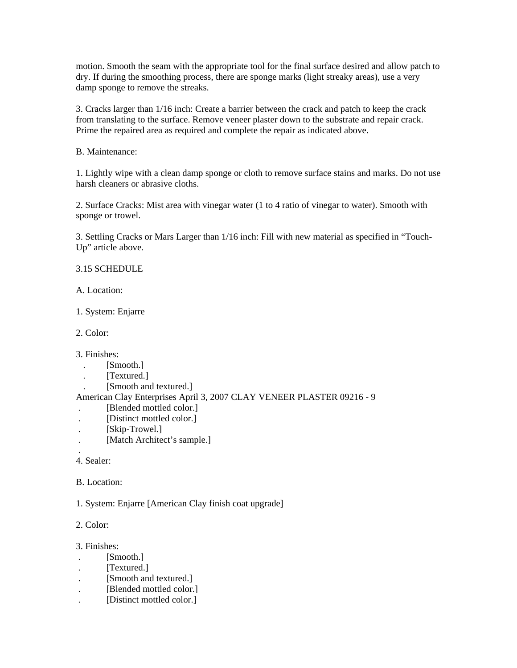motion. Smooth the seam with the appropriate tool for the final surface desired and allow patch to dry. If during the smoothing process, there are sponge marks (light streaky areas), use a very damp sponge to remove the streaks.

3. Cracks larger than 1/16 inch: Create a barrier between the crack and patch to keep the crack from translating to the surface. Remove veneer plaster down to the substrate and repair crack. Prime the repaired area as required and complete the repair as indicated above.

B. Maintenance:

1. Lightly wipe with a clean damp sponge or cloth to remove surface stains and marks. Do not use harsh cleaners or abrasive cloths.

2. Surface Cracks: Mist area with vinegar water (1 to 4 ratio of vinegar to water). Smooth with sponge or trowel.

3. Settling Cracks or Mars Larger than 1/16 inch: Fill with new material as specified in "Touch-Up" article above.

3.15 SCHEDULE

A. Location:

1. System: Enjarre

2. Color:

3. Finishes:

- . [Smooth.]
- . [Textured.]
- [Smooth and textured.]

American Clay Enterprises April 3, 2007 CLAY VENEER PLASTER 09216 - 9

- . [Blended mottled color.]
- . [Distinct mottled color.]
- [Skip-Trowel.]
- [Match Architect's sample.]

 . 4. Sealer:

B. Location:

1. System: Enjarre [American Clay finish coat upgrade]

## 2. Color:

3. Finishes:

- . [Smooth.]
- [Textured.]
- [Smooth and textured.]
- . [Blended mottled color.]
- [Distinct mottled color.]